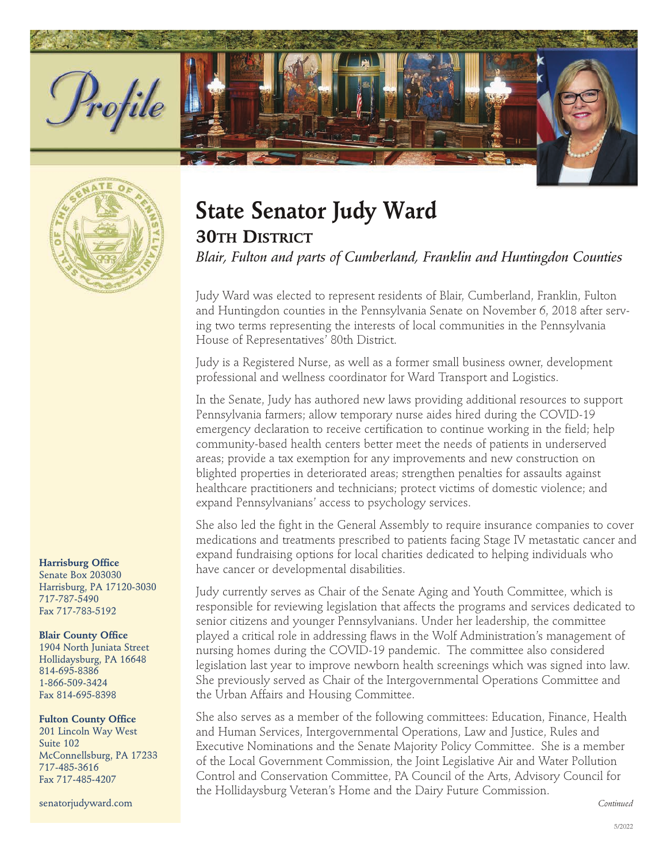



## **Harrisburg Office**

Senate Box 203030 Harrisburg, PA 17120-3030 717-787-5490 Fax 717-783-5192

## **Blair County Office**

1904 North Juniata Street Hollidaysburg, PA 16648 814-695-8386 1-866-509-3424 Fax 814-695-8398

## **Fulton County Office**

201 Lincoln Way West Suite 102 McConnellsburg, PA 17233 717-485-3616 Fax 717-485-4207

senatorjudyward.com

## **State Senator Judy Ward**

**30TH DISTRICT**

Blair, Fulton and parts of Cumberland, Franklin and Huntingdon Counties

Judy Ward was elected to represent residents of Blair, Cumberland, Franklin, Fulton and Huntingdon counties in the Pennsylvania Senate on November 6, 2018 after serving two terms representing the interests of local communities in the Pennsylvania House of Representatives' 80th District.

Judy is a Registered Nurse, as well as a former small business owner, development professional and wellness coordinator for Ward Transport and Logistics.

In the Senate, Judy has authored new laws providing additional resources to support Pennsylvania farmers; allow temporary nurse aides hired during the COVID-19 emergency declaration to receive certification to continue working in the field; help community-based health centers better meet the needs of patients in underserved areas; provide a tax exemption for any improvements and new construction on blighted properties in deteriorated areas; strengthen penalties for assaults against healthcare practitioners and technicians; protect victims of domestic violence; and expand Pennsylvanians' access to psychology services.

She also led the fight in the General Assembly to require insurance companies to cover medications and treatments prescribed to patients facing Stage IV metastatic cancer and expand fundraising options for local charities dedicated to helping individuals who have cancer or developmental disabilities.

Judy currently serves as Chair of the Senate Aging and Youth Committee, which is responsible for reviewing legislation that affects the programs and services dedicated to senior citizens and younger Pennsylvanians. Under her leadership, the committee played a critical role in addressing flaws in the Wolf Administration's management of nursing homes during the COVID-19 pandemic. The committee also considered legislation last year to improve newborn health screenings which was signed into law. She previously served as Chair of the Intergovernmental Operations Committee and the Urban Affairs and Housing Committee.

She also serves as a member of the following committees: Education, Finance, Health and Human Services, Intergovernmental Operations, Law and Justice, Rules and Executive Nominations and the Senate Majority Policy Committee. She is a member of the Local Government Commission, the Joint Legislative Air and Water Pollution Control and Conservation Committee, PA Council of the Arts, Advisory Council for the Hollidaysburg Veteran's Home and the Dairy Future Commission.

*Continued*